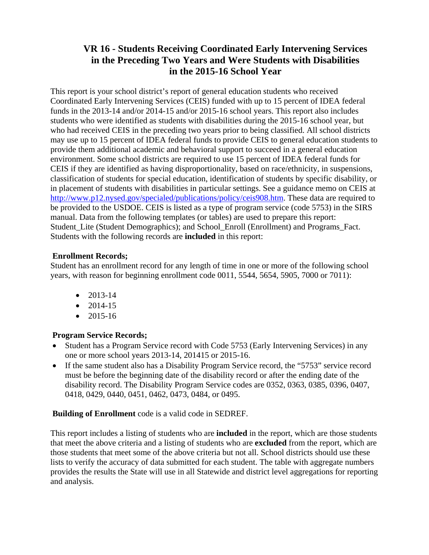# **VR 16 - Students Receiving Coordinated Early Intervening Services in the Preceding Two Years and Were Students with Disabilities in the 2015-16 School Year**

This report is your school district's report of general education students who received Coordinated Early Intervening Services (CEIS) funded with up to 15 percent of IDEA federal funds in the 2013-14 and/or 2014-15 and/or 2015-16 school years. This report also includes students who were identified as students with disabilities during the 2015-16 school year, but who had received CEIS in the preceding two years prior to being classified. All school districts may use up to 15 percent of IDEA federal funds to provide CEIS to general education students to provide them additional academic and behavioral support to succeed in a general education environment. Some school districts are required to use 15 percent of IDEA federal funds for CEIS if they are identified as having disproportionality, based on race/ethnicity, in suspensions, classification of students for special education, identification of students by specific disability, or in placement of students with disabilities in particular settings. See a guidance memo on CEIS at http://www.p12.nysed.gov/specialed/publications/policy/ceis908.htm. These data are required to be provided to the USDOE. CEIS is listed as a type of program service (code 5753) in the SIRS manual. Data from the following templates (or tables) are used to prepare this report: Student Lite (Student Demographics); and School Enroll (Enrollment) and Programs Fact. Students with the following records are **included** in this report:

### **Enrollment Records;**

Student has an enrollment record for any length of time in one or more of the following school years, with reason for beginning enrollment code 0011, 5544, 5654, 5905, 7000 or 7011):

- $\bullet$  2013-14
- $\bullet$  2014-15
- $\bullet$  2015-16

## **Program Service Records;**

- Student has a Program Service record with Code 5753 (Early Intervening Services) in any one or more school years 2013-14, 201415 or 2015-16.
- If the same student also has a Disability Program Service record, the "5753" service record must be before the beginning date of the disability record or after the ending date of the disability record. The Disability Program Service codes are 0352, 0363, 0385, 0396, 0407, 0418, 0429, 0440, 0451, 0462, 0473, 0484, or 0495.

### **Building of Enrollment** code is a valid code in SEDREF.

This report includes a listing of students who are **included** in the report, which are those students that meet the above criteria and a listing of students who are **excluded** from the report, which are those students that meet some of the above criteria but not all. School districts should use these lists to verify the accuracy of data submitted for each student. The table with aggregate numbers provides the results the State will use in all Statewide and district level aggregations for reporting and analysis.